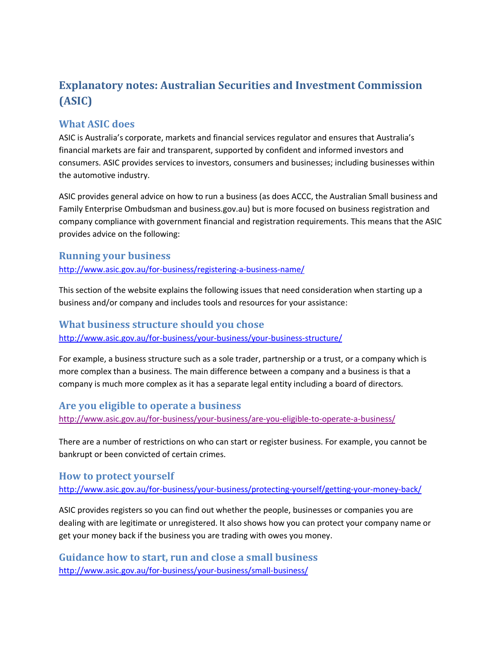# **Explanatory notes: Australian Securities and Investment Commission (ASIC)**

# **What ASIC does**

ASIC is Australia's corporate, markets and financial services regulator and ensures that Australia's financial markets are fair and transparent, supported by confident and informed investors and consumers. ASIC provides services to investors, consumers and businesses; including businesses within the automotive industry.

ASIC provides general advice on how to run a business (as does ACCC, the Australian Small business and Family Enterprise Ombudsman and business.gov.au) but is more focused on business registration and company compliance with government financial and registration requirements. This means that the ASIC provides advice on the following:

## **Running your business**

<http://www.asic.gov.au/for-business/registering-a-business-name/>

This section of the website explains the following issues that need consideration when starting up a business and/or company and includes tools and resources for your assistance:

## **What business structure should you chose**

<http://www.asic.gov.au/for-business/your-business/your-business-structure/>

For example, a business structure such as a sole trader, partnership or a trust, or a company which is more complex than a business. The main difference between a company and a business is that a company is much more complex as it has a separate legal entity including a board of directors.

# **Are you eligible to operate a business**

<http://www.asic.gov.au/for-business/your-business/are-you-eligible-to-operate-a-business/>

There are a number of restrictions on who can start or register business. For example, you cannot be bankrupt or been convicted of certain crimes.

# **How to protect yourself**

<http://www.asic.gov.au/for-business/your-business/protecting-yourself/getting-your-money-back/>

ASIC provides registers so you can find out whether the people, businesses or companies you are dealing with are legitimate or unregistered. It also shows how you can protect your company name or get your money back if the business you are trading with owes you money.

**Guidance how to start, run and close a small business** <http://www.asic.gov.au/for-business/your-business/small-business/>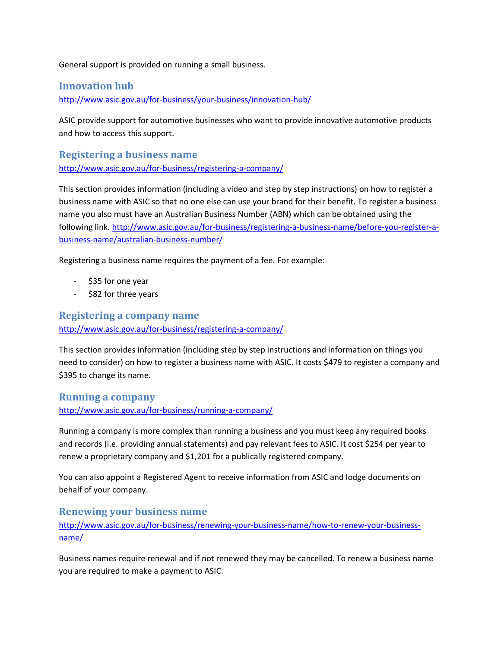General support is provided on running a small business.

# **Innovation hub**

<http://www.asic.gov.au/for-business/your-business/innovation-hub/>

ASIC provide support for automotive businesses who want to provide innovative automotive products and how to access this support.

**Registering a business name** <http://www.asic.gov.au/for-business/registering-a-company/>

This section provides information (including a video and step by step instructions) on how to register a business name with ASIC so that no one else can use your brand for their benefit. To register a business name you also must have an Australian Business Number (ABN) which can be obtained using the following link. [http://www.asic.gov.au/for-business/registering-a-business-name/before-you-register-a](http://www.asic.gov.au/for-business/registering-a-business-name/before-you-register-a-business-name/australian-business-number/)[business-name/australian-business-number/](http://www.asic.gov.au/for-business/registering-a-business-name/before-you-register-a-business-name/australian-business-number/)

Registering a business name requires the payment of a fee. For example:

- \$35 for one year
- \$82 for three years

## **Registering a company name**

<http://www.asic.gov.au/for-business/registering-a-company/>

This section provides information (including step by step instructions and information on things you need to consider) on how to register a business name with ASIC. It costs \$479 to register a company and \$395 to change its name.

# **Running a company**

<http://www.asic.gov.au/for-business/running-a-company/>

Running a company is more complex than running a business and you must keep any required books and records (i.e. providing annual statements) and pay relevant fees to ASIC. It cost \$254 per year to renew a proprietary company and \$1,201 for a publically registered company.

You can also appoint a Registered Agent to receive information from ASIC and lodge documents on behalf of your company.

## **Renewing your business name**

[http://www.asic.gov.au/for-business/renewing-your-business-name/how-to-renew-your-business](http://www.asic.gov.au/for-business/renewing-your-business-name/how-to-renew-your-business-name/)[name/](http://www.asic.gov.au/for-business/renewing-your-business-name/how-to-renew-your-business-name/)

Business names require renewal and if not renewed they may be cancelled. To renew a business name you are required to make a payment to ASIC.